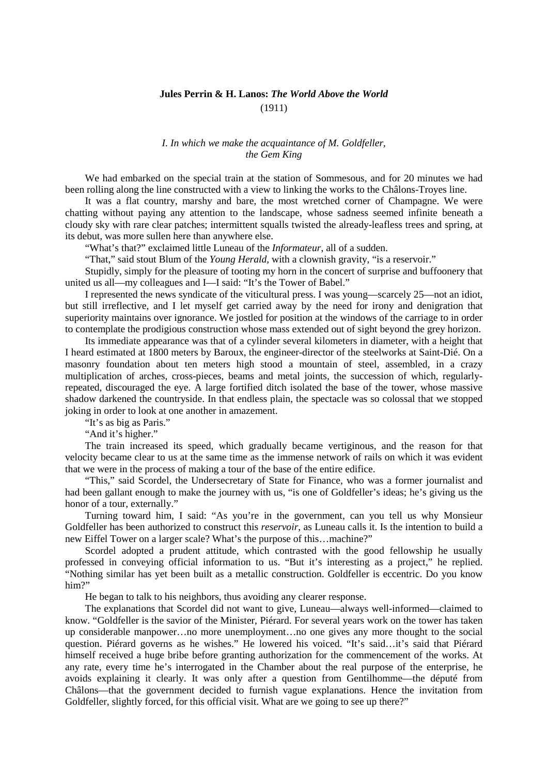## **Jules Perrin & H. Lanos:** *The World Above the World* (1911)

## *I. In which we make the acquaintance of M. Goldfeller, the Gem King*

We had embarked on the special train at the station of Sommesous, and for 20 minutes we had been rolling along the line constructed with a view to linking the works to the Châlons-Troyes line.

It was a flat country, marshy and bare, the most wretched corner of Champagne. We were chatting without paying any attention to the landscape, whose sadness seemed infinite beneath a cloudy sky with rare clear patches; intermittent squalls twisted the already-leafless trees and spring, at its debut, was more sullen here than anywhere else.

"What's that?" exclaimed little Luneau of the *Informateur*, all of a sudden.

"That," said stout Blum of the *Young Herald*, with a clownish gravity, "is a reservoir."

Stupidly, simply for the pleasure of tooting my horn in the concert of surprise and buffoonery that united us all—my colleagues and I—I said: "It's the Tower of Babel."

I represented the news syndicate of the viticultural press. I was young—scarcely 25—not an idiot, but still irreflective, and I let myself get carried away by the need for irony and denigration that superiority maintains over ignorance. We jostled for position at the windows of the carriage to in order to contemplate the prodigious construction whose mass extended out of sight beyond the grey horizon.

Its immediate appearance was that of a cylinder several kilometers in diameter, with a height that I heard estimated at 1800 meters by Baroux, the engineer-director of the steelworks at Saint-Dié. On a masonry foundation about ten meters high stood a mountain of steel, assembled, in a crazy multiplication of arches, cross-pieces, beams and metal joints, the succession of which, regularlyrepeated, discouraged the eye. A large fortified ditch isolated the base of the tower, whose massive shadow darkened the countryside. In that endless plain, the spectacle was so colossal that we stopped joking in order to look at one another in amazement.

"It's as big as Paris."

"And it's higher."

The train increased its speed, which gradually became vertiginous, and the reason for that velocity became clear to us at the same time as the immense network of rails on which it was evident that we were in the process of making a tour of the base of the entire edifice.

"This," said Scordel, the Undersecretary of State for Finance, who was a former journalist and had been gallant enough to make the journey with us, "is one of Goldfeller's ideas; he's giving us the honor of a tour, externally."

Turning toward him, I said: "As you're in the government, can you tell us why Monsieur Goldfeller has been authorized to construct this *reservoir*, as Luneau calls it. Is the intention to build a new Eiffel Tower on a larger scale? What's the purpose of this…machine?"

Scordel adopted a prudent attitude, which contrasted with the good fellowship he usually professed in conveying official information to us. "But it's interesting as a project," he replied. "Nothing similar has yet been built as a metallic construction. Goldfeller is eccentric. Do you know him?"

He began to talk to his neighbors, thus avoiding any clearer response.

The explanations that Scordel did not want to give, Luneau—always well-informed—claimed to know. "Goldfeller is the savior of the Minister, Piérard. For several years work on the tower has taken up considerable manpower…no more unemployment…no one gives any more thought to the social question. Piérard governs as he wishes." He lowered his voiced. "It's said…it's said that Piérard himself received a huge bribe before granting authorization for the commencement of the works. At any rate, every time he's interrogated in the Chamber about the real purpose of the enterprise, he avoids explaining it clearly. It was only after a question from Gentilhomme—the député from Châlons—that the government decided to furnish vague explanations. Hence the invitation from Goldfeller, slightly forced, for this official visit. What are we going to see up there?"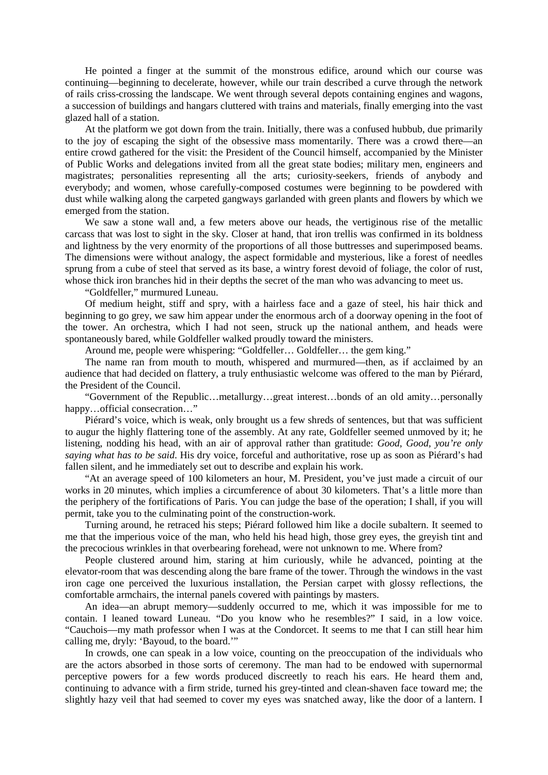He pointed a finger at the summit of the monstrous edifice, around which our course was continuing—beginning to decelerate, however, while our train described a curve through the network of rails criss-crossing the landscape. We went through several depots containing engines and wagons, a succession of buildings and hangars cluttered with trains and materials, finally emerging into the vast glazed hall of a station.

At the platform we got down from the train. Initially, there was a confused hubbub, due primarily to the joy of escaping the sight of the obsessive mass momentarily. There was a crowd there—an entire crowd gathered for the visit: the President of the Council himself, accompanied by the Minister of Public Works and delegations invited from all the great state bodies; military men, engineers and magistrates; personalities representing all the arts; curiosity-seekers, friends of anybody and everybody; and women, whose carefully-composed costumes were beginning to be powdered with dust while walking along the carpeted gangways garlanded with green plants and flowers by which we emerged from the station.

We saw a stone wall and, a few meters above our heads, the vertiginous rise of the metallic carcass that was lost to sight in the sky. Closer at hand, that iron trellis was confirmed in its boldness and lightness by the very enormity of the proportions of all those buttresses and superimposed beams. The dimensions were without analogy, the aspect formidable and mysterious, like a forest of needles sprung from a cube of steel that served as its base, a wintry forest devoid of foliage, the color of rust, whose thick iron branches hid in their depths the secret of the man who was advancing to meet us.

"Goldfeller," murmured Luneau.

Of medium height, stiff and spry, with a hairless face and a gaze of steel, his hair thick and beginning to go grey, we saw him appear under the enormous arch of a doorway opening in the foot of the tower. An orchestra, which I had not seen, struck up the national anthem, and heads were spontaneously bared, while Goldfeller walked proudly toward the ministers.

Around me, people were whispering: "Goldfeller… Goldfeller… the gem king."

The name ran from mouth to mouth, whispered and murmured—then, as if acclaimed by an audience that had decided on flattery, a truly enthusiastic welcome was offered to the man by Piérard, the President of the Council.

"Government of the Republic…metallurgy…great interest…bonds of an old amity…personally happy...official consecration..."

Piérard's voice, which is weak, only brought us a few shreds of sentences, but that was sufficient to augur the highly flattering tone of the assembly. At any rate, Goldfeller seemed unmoved by it; he listening, nodding his head, with an air of approval rather than gratitude: *Good, Good, you're only saying what has to be said*. His dry voice, forceful and authoritative, rose up as soon as Piérard's had fallen silent, and he immediately set out to describe and explain his work.

"At an average speed of 100 kilometers an hour, M. President, you've just made a circuit of our works in 20 minutes, which implies a circumference of about 30 kilometers. That's a little more than the periphery of the fortifications of Paris. You can judge the base of the operation; I shall, if you will permit, take you to the culminating point of the construction-work.

Turning around, he retraced his steps; Piérard followed him like a docile subaltern. It seemed to me that the imperious voice of the man, who held his head high, those grey eyes, the greyish tint and the precocious wrinkles in that overbearing forehead, were not unknown to me. Where from?

People clustered around him, staring at him curiously, while he advanced, pointing at the elevator-room that was descending along the bare frame of the tower. Through the windows in the vast iron cage one perceived the luxurious installation, the Persian carpet with glossy reflections, the comfortable armchairs, the internal panels covered with paintings by masters.

An idea—an abrupt memory—suddenly occurred to me, which it was impossible for me to contain. I leaned toward Luneau. "Do you know who he resembles?" I said, in a low voice. "Cauchois—my math professor when I was at the Condorcet. It seems to me that I can still hear him calling me, dryly: 'Bayoud, to the board.'"

In crowds, one can speak in a low voice, counting on the preoccupation of the individuals who are the actors absorbed in those sorts of ceremony. The man had to be endowed with supernormal perceptive powers for a few words produced discreetly to reach his ears. He heard them and, continuing to advance with a firm stride, turned his grey-tinted and clean-shaven face toward me; the slightly hazy veil that had seemed to cover my eyes was snatched away, like the door of a lantern. I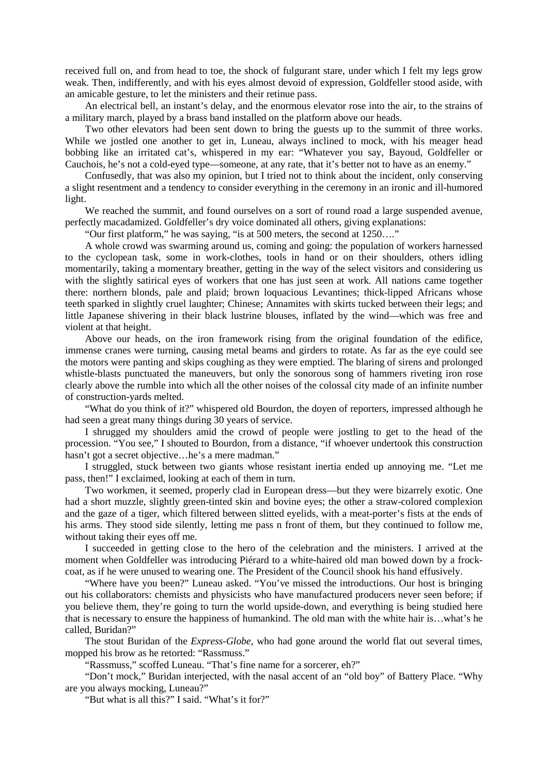received full on, and from head to toe, the shock of fulgurant stare, under which I felt my legs grow weak. Then, indifferently, and with his eyes almost devoid of expression, Goldfeller stood aside, with an amicable gesture, to let the ministers and their retinue pass.

An electrical bell, an instant's delay, and the enormous elevator rose into the air, to the strains of a military march, played by a brass band installed on the platform above our heads.

Two other elevators had been sent down to bring the guests up to the summit of three works. While we jostled one another to get in, Luneau, always inclined to mock, with his meager head bobbing like an irritated cat's, whispered in my ear: "Whatever you say, Bayoud, Goldfeller or Cauchois, he's not a cold-eyed type—someone, at any rate, that it's better not to have as an enemy."

Confusedly, that was also my opinion, but I tried not to think about the incident, only conserving a slight resentment and a tendency to consider everything in the ceremony in an ironic and ill-humored light.

We reached the summit, and found ourselves on a sort of round road a large suspended avenue, perfectly macadamized. Goldfeller's dry voice dominated all others, giving explanations:

"Our first platform," he was saying, "is at 500 meters, the second at 1250…."

A whole crowd was swarming around us, coming and going: the population of workers harnessed to the cyclopean task, some in work-clothes, tools in hand or on their shoulders, others idling momentarily, taking a momentary breather, getting in the way of the select visitors and considering us with the slightly satirical eyes of workers that one has just seen at work. All nations came together there: northern blonds, pale and plaid; brown loquacious Levantines; thick-lipped Africans whose teeth sparked in slightly cruel laughter; Chinese; Annamites with skirts tucked between their legs; and little Japanese shivering in their black lustrine blouses, inflated by the wind—which was free and violent at that height.

Above our heads, on the iron framework rising from the original foundation of the edifice, immense cranes were turning, causing metal beams and girders to rotate. As far as the eye could see the motors were panting and skips coughing as they were emptied. The blaring of sirens and prolonged whistle-blasts punctuated the maneuvers, but only the sonorous song of hammers riveting iron rose clearly above the rumble into which all the other noises of the colossal city made of an infinite number of construction-yards melted.

"What do you think of it?" whispered old Bourdon, the doyen of reporters, impressed although he had seen a great many things during 30 years of service.

I shrugged my shoulders amid the crowd of people were jostling to get to the head of the procession. "You see," I shouted to Bourdon, from a distance, "if whoever undertook this construction hasn't got a secret objective...he's a mere madman."

I struggled, stuck between two giants whose resistant inertia ended up annoying me. "Let me pass, then!" I exclaimed, looking at each of them in turn.

Two workmen, it seemed, properly clad in European dress—but they were bizarrely exotic. One had a short muzzle, slightly green-tinted skin and bovine eyes; the other a straw-colored complexion and the gaze of a tiger, which filtered between slitted eyelids, with a meat-porter's fists at the ends of his arms. They stood side silently, letting me pass n front of them, but they continued to follow me, without taking their eyes off me.

I succeeded in getting close to the hero of the celebration and the ministers. I arrived at the moment when Goldfeller was introducing Piérard to a white-haired old man bowed down by a frockcoat, as if he were unused to wearing one. The President of the Council shook his hand effusively.

"Where have you been?" Luneau asked. "You've missed the introductions. Our host is bringing out his collaborators: chemists and physicists who have manufactured producers never seen before; if you believe them, they're going to turn the world upside-down, and everything is being studied here that is necessary to ensure the happiness of humankind. The old man with the white hair is…what's he called, Buridan?"

The stout Buridan of the *Express-Globe*, who had gone around the world flat out several times, mopped his brow as he retorted: "Rassmuss."

"Rassmuss," scoffed Luneau. "That's fine name for a sorcerer, eh?"

"Don't mock," Buridan interjected, with the nasal accent of an "old boy" of Battery Place. "Why are you always mocking, Luneau?"

"But what is all this?" I said. "What's it for?"